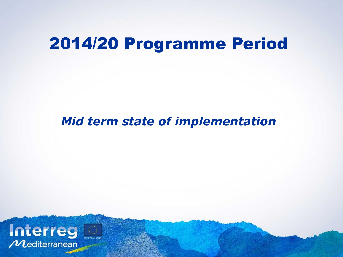# 2014/20 Programme Period

#### *Mid term state of implementation*

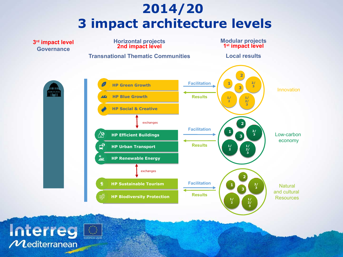## **2014/20 3 impact architecture levels**

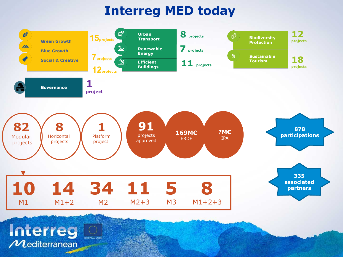## **Interreg MED today**